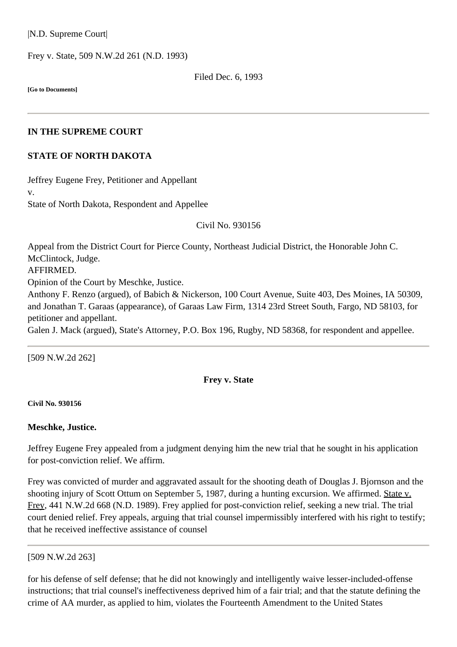|N.D. Supreme Court|

Frey v. State, [509 N.W.2d 261](http://www.ndcourts.gov/supreme-court/opinion/509NW2d261) (N.D. 1993)

Filed Dec. 6, 1993

**[Go to Documents]**

## **IN THE SUPREME COURT**

## **STATE OF NORTH DAKOTA**

Jeffrey Eugene Frey, Petitioner and Appellant v. State of North Dakota, Respondent and Appellee

Civil [No. 930156](http://www.ndcourts.gov/supreme-court/dockets/19930156)

Appeal from the District Court for Pierce County, Northeast Judicial District, the Honorable John C. McClintock, Judge. AFFIRMED. Opinion of the Court by Meschke, Justice. Anthony F. Renzo (argued), of Babich & Nickerson, 100 Court Avenue, Suite 403, Des Moines, IA 50309, and Jonathan T. Garaas (appearance), of Garaas Law Firm, 1314 23rd Street South, Fargo, ND 58103, for

petitioner and appellant. Galen J. Mack (argued), State's Attorney, P.O. Box 196, Rugby, ND 58368, for respondent and appellee.

[509 N.W.2d 262]

## **Frey v. State**

**Civil [No. 930156](http://www.ndcourts.gov/supreme-court/dockets/19930156)**

#### **Meschke, Justice.**

Jeffrey Eugene Frey appealed from a judgment denying him the new trial that he sought in his application for post-conviction relief. We affirm.

Frey was convicted of murder and aggravated assault for the shooting death of Douglas J. Bjornson and the shooting injury of Scott Ottum on September 5, 1987, during a hunting excursion. We affirmed. State v. Frey, [441 N.W.2d 668](http://www.ndcourts.gov/supreme-court/opinion/441NW2d668) (N.D. 1989). Frey applied for post-conviction relief, seeking a new trial. The trial court denied relief. Frey appeals, arguing that trial counsel impermissibly interfered with his right to testify; that he received ineffective assistance of counsel

```
[509 N.W.2d 263]
```
for his defense of self defense; that he did not knowingly and intelligently waive lesser-included-offense instructions; that trial counsel's ineffectiveness deprived him of a fair trial; and that the statute defining the crime of AA murder, as applied to him, violates the Fourteenth Amendment to the United States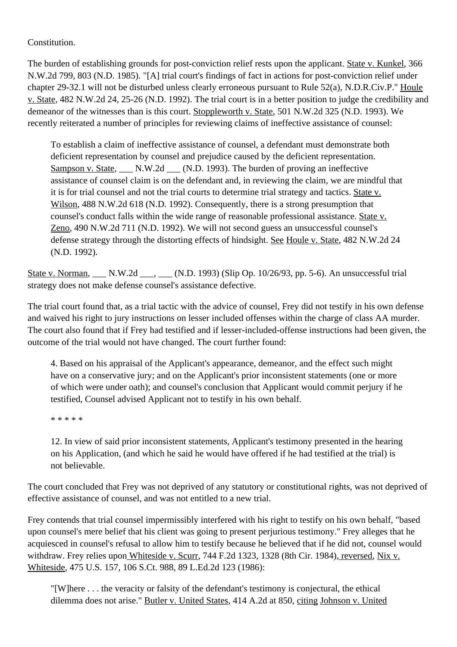Constitution.

The burden of establishing grounds for post-conviction relief rests upon the applicant. State v. Kunkel, [366](http://www.ndcourts.gov/supreme-court/opinion/366NW2d799) [N.W.2d 799,](http://www.ndcourts.gov/supreme-court/opinion/366NW2d799) 803 (N.D. 1985). "[A] trial court's findings of fact in actions for post-conviction relief under chapter 29-32.1 will not be disturbed unless clearly erroneous pursuant to [Rule 52\(a\), N.D.R.Civ.P."](http://www.ndcourts.gov/legal-resources/rules/ndrcivp/52) Houle v. State, 482 N.W.2d 24, 25-26 (N.D. 1992). The trial court is in a better position to judge the credibility and demeanor of the witnesses than is this court. Stoppleworth v. State, [501 N.W.2d 325](http://www.ndcourts.gov/supreme-court/opinion/501NW2d325) (N.D. 1993). We recently reiterated a number of principles for reviewing claims of ineffective assistance of counsel:

To establish a claim of ineffective assistance of counsel, a defendant must demonstrate both deficient representation by counsel and prejudice caused by the deficient representation. Sampson v. State, \_\_\_ N.W.2d \_\_\_ (N.D. 1993). The burden of proving an ineffective assistance of counsel claim is on the defendant and, in reviewing the claim, we are mindful that it is for trial counsel and not the trial courts to determine trial strategy and tactics. State v. Wilson, [488 N.W.2d 618](http://www.ndcourts.gov/supreme-court/opinion/488NW2d618) (N.D. 1992). Consequently, there is a strong presumption that counsel's conduct falls within the wide range of reasonable professional assistance. State v. Zeno, [490 N.W.2d 711](http://www.ndcourts.gov/supreme-court/opinion/490NW2d711) (N.D. 1992). We will not second guess an unsuccessful counsel's defense strategy through the distorting effects of hindsight. See Houle v. State, 482 N.W.2d 24 (N.D. 1992).

State v. Norman, N.W.2d , (N.D. 1993) (Slip Op. 10/26/93, pp. 5-6). An unsuccessful trial strategy does not make defense counsel's assistance defective.

The trial court found that, as a trial tactic with the advice of counsel, Frey did not testify in his own defense and waived his right to jury instructions on lesser included offenses within the charge of class AA murder. The court also found that if Frey had testified and if lesser-included-offense instructions had been given, the outcome of the trial would not have changed. The court further found:

4. Based on his appraisal of the Applicant's appearance, demeanor, and the effect such might have on a conservative jury; and on the Applicant's prior inconsistent statements (one or more of which were under oath); and counsel's conclusion that Applicant would commit perjury if he testified, Counsel advised Applicant not to testify in his own behalf.

\* \* \* \* \*

12. In view of said prior inconsistent statements, Applicant's testimony presented in the hearing on his Application, (and which he said he would have offered if he had testified at the trial) is not believable.

The court concluded that Frey was not deprived of any statutory or constitutional rights, was not deprived of effective assistance of counsel, and was not entitled to a new trial.

Frey contends that trial counsel impermissibly interfered with his right to testify on his own behalf, "based upon counsel's mere belief that his client was going to present perjurious testimony." Frey alleges that he acquiesced in counsel's refusal to allow him to testify because he believed that if he did not, counsel would withdraw. Frey relies upon Whiteside v. Scurr, 744 F.2d 1323, 1328 (8th Cir. 1984), reversed, Nix v. Whiteside, 475 U.S. 157, 106 S.Ct. 988, 89 L.Ed.2d 123 (1986):

"[W]here . . . the veracity or falsity of the defendant's testimony is conjectural, the ethical dilemma does not arise." Butler v. United States, 414 A.2d at 850, citing Johnson v. United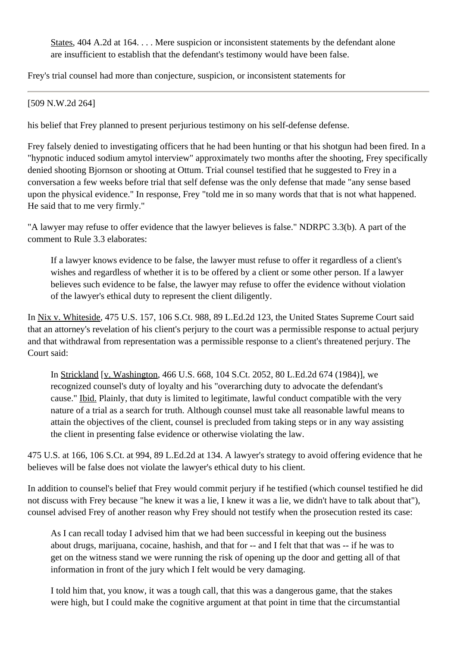States, 404 A.2d at 164. . . . Mere suspicion or inconsistent statements by the defendant alone are insufficient to establish that the defendant's testimony would have been false.

Frey's trial counsel had more than conjecture, suspicion, or inconsistent statements for

[509 N.W.2d 264]

his belief that Frey planned to present perjurious testimony on his self-defense defense.

Frey falsely denied to investigating officers that he had been hunting or that his shotgun had been fired. In a "hypnotic induced sodium amytol interview" approximately two months after the shooting, Frey specifically denied shooting Bjornson or shooting at Ottum. Trial counsel testified that he suggested to Frey in a conversation a few weeks before trial that self defense was the only defense that made "any sense based upon the physical evidence." In response, Frey "told me in so many words that that is not what happened. He said that to me very firmly."

"A lawyer may refuse to offer evidence that the lawyer believes is false." NDRPC 3.3(b). A part of the comment to Rule 3.3 elaborates:

If a lawyer knows evidence to be false, the lawyer must refuse to offer it regardless of a client's wishes and regardless of whether it is to be offered by a client or some other person. If a lawyer believes such evidence to be false, the lawyer may refuse to offer the evidence without violation of the lawyer's ethical duty to represent the client diligently.

In Nix v. Whiteside, 475 U.S. 157, 106 S.Ct. 988, 89 L.Ed.2d 123, the United States Supreme Court said that an attorney's revelation of his client's perjury to the court was a permissible response to actual perjury and that withdrawal from representation was a permissible response to a client's threatened perjury. The Court said:

In Strickland [v. Washington, 466 U.S. 668, 104 S.Ct. 2052, 80 L.Ed.2d 674 (1984)], we recognized counsel's duty of loyalty and his "overarching duty to advocate the defendant's cause." Ibid. Plainly, that duty is limited to legitimate, lawful conduct compatible with the very nature of a trial as a search for truth. Although counsel must take all reasonable lawful means to attain the objectives of the client, counsel is precluded from taking steps or in any way assisting the client in presenting false evidence or otherwise violating the law.

475 U.S. at 166, 106 S.Ct. at 994, 89 L.Ed.2d at 134. A lawyer's strategy to avoid offering evidence that he believes will be false does not violate the lawyer's ethical duty to his client.

In addition to counsel's belief that Frey would commit perjury if he testified (which counsel testified he did not discuss with Frey because "he knew it was a lie, I knew it was a lie, we didn't have to talk about that"), counsel advised Frey of another reason why Frey should not testify when the prosecution rested its case:

As I can recall today I advised him that we had been successful in keeping out the business about drugs, marijuana, cocaine, hashish, and that for -- and I felt that that was -- if he was to get on the witness stand we were running the risk of opening up the door and getting all of that information in front of the jury which I felt would be very damaging.

I told him that, you know, it was a tough call, that this was a dangerous game, that the stakes were high, but I could make the cognitive argument at that point in time that the circumstantial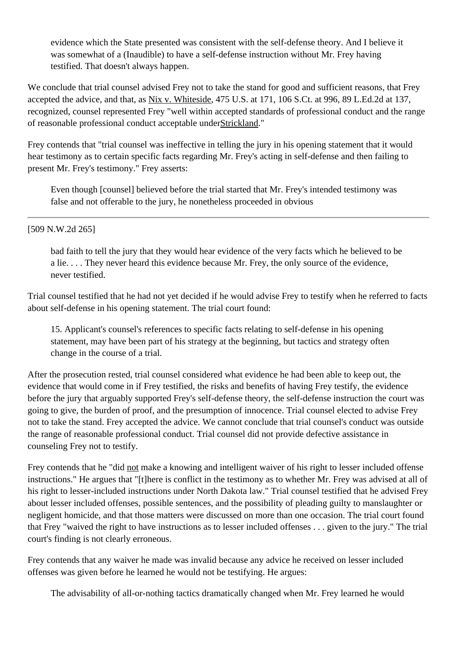evidence which the State presented was consistent with the self-defense theory. And I believe it was somewhat of a (Inaudible) to have a self-defense instruction without Mr. Frey having testified. That doesn't always happen.

We conclude that trial counsel advised Frey not to take the stand for good and sufficient reasons, that Frey accepted the advice, and that, as Nix v. Whiteside, 475 U.S. at 171, 106 S.Ct. at 996, 89 L.Ed.2d at 137, recognized, counsel represented Frey "well within accepted standards of professional conduct and the range of reasonable professional conduct acceptable underStrickland."

Frey contends that "trial counsel was ineffective in telling the jury in his opening statement that it would hear testimony as to certain specific facts regarding Mr. Frey's acting in self-defense and then failing to present Mr. Frey's testimony." Frey asserts:

Even though [counsel] believed before the trial started that Mr. Frey's intended testimony was false and not offerable to the jury, he nonetheless proceeded in obvious

# [509 N.W.2d 265]

bad faith to tell the jury that they would hear evidence of the very facts which he believed to be a lie. . . . They never heard this evidence because Mr. Frey, the only source of the evidence, never testified.

Trial counsel testified that he had not yet decided if he would advise Frey to testify when he referred to facts about self-defense in his opening statement. The trial court found:

15. Applicant's counsel's references to specific facts relating to self-defense in his opening statement, may have been part of his strategy at the beginning, but tactics and strategy often change in the course of a trial.

After the prosecution rested, trial counsel considered what evidence he had been able to keep out, the evidence that would come in if Frey testified, the risks and benefits of having Frey testify, the evidence before the jury that arguably supported Frey's self-defense theory, the self-defense instruction the court was going to give, the burden of proof, and the presumption of innocence. Trial counsel elected to advise Frey not to take the stand. Frey accepted the advice. We cannot conclude that trial counsel's conduct was outside the range of reasonable professional conduct. Trial counsel did not provide defective assistance in counseling Frey not to testify.

Frey contends that he "did not make a knowing and intelligent waiver of his right to lesser included offense instructions." He argues that "[t]here is conflict in the testimony as to whether Mr. Frey was advised at all of his right to lesser-included instructions under North Dakota law." Trial counsel testified that he advised Frey about lesser included offenses, possible sentences, and the possibility of pleading guilty to manslaughter or negligent homicide, and that those matters were discussed on more than one occasion. The trial court found that Frey "waived the right to have instructions as to lesser included offenses . . . given to the jury." The trial court's finding is not clearly erroneous.

Frey contends that any waiver he made was invalid because any advice he received on lesser included offenses was given before he learned he would not be testifying. He argues:

The advisability of all-or-nothing tactics dramatically changed when Mr. Frey learned he would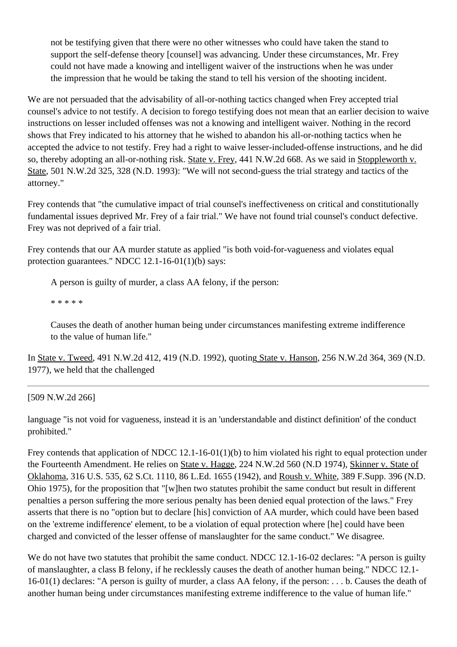not be testifying given that there were no other witnesses who could have taken the stand to support the self-defense theory [counsel] was advancing. Under these circumstances, Mr. Frey could not have made a knowing and intelligent waiver of the instructions when he was under the impression that he would be taking the stand to tell his version of the shooting incident.

We are not persuaded that the advisability of all-or-nothing tactics changed when Frey accepted trial counsel's advice to not testify. A decision to forego testifying does not mean that an earlier decision to waive instructions on lesser included offenses was not a knowing and intelligent waiver. Nothing in the record shows that Frey indicated to his attorney that he wished to abandon his all-or-nothing tactics when he accepted the advice to not testify. Frey had a right to waive lesser-included-offense instructions, and he did so, thereby adopting an all-or-nothing risk. State v. Frey, [441 N.W.2d 668.](http://www.ndcourts.gov/supreme-court/opinion/441NW2d668) As we said in Stoppleworth v. State, [501 N.W.2d 325,](http://www.ndcourts.gov/supreme-court/opinion/501NW2d325) 328 (N.D. 1993): "We will not second-guess the trial strategy and tactics of the attorney."

Frey contends that "the cumulative impact of trial counsel's ineffectiveness on critical and constitutionally fundamental issues deprived Mr. Frey of a fair trial." We have not found trial counsel's conduct defective. Frey was not deprived of a fair trial.

Frey contends that our AA murder statute as applied "is both void-for-vagueness and violates equal protection guarantees." NDCC 12.1-16-01(1)(b) says:

A person is guilty of murder, a class AA felony, if the person:

\* \* \* \* \*

Causes the death of another human being under circumstances manifesting extreme indifference to the value of human life."

In State v. Tweed, [491 N.W.2d 412,](http://www.ndcourts.gov/supreme-court/opinion/491NW2d412) 419 (N.D. 1992), quoting State v. Hanson, 256 N.W.2d 364, 369 (N.D. 1977), we held that the challenged

# [509 N.W.2d 266]

language "is not void for vagueness, instead it is an 'understandable and distinct definition' of the conduct prohibited."

Frey contends that application of NDCC 12.1-16-01(1)(b) to him violated his right to equal protection under the Fourteenth Amendment. He relies on State v. Hagge, [224 N.W.2d 560](http://www.ndcourts.gov/supreme-court/opinion/224NW2d560) (N.D 1974), Skinner v. State of Oklahoma, 316 U.S. 535, 62 S.Ct. 1110, 86 L.Ed. 1655 (1942), and Roush v. White, 389 F.Supp. 396 (N.D. Ohio 1975), for the proposition that "[w]hen two statutes prohibit the same conduct but result in different penalties a person suffering the more serious penalty has been denied equal protection of the laws." Frey asserts that there is no "option but to declare [his] conviction of AA murder, which could have been based on the 'extreme indifference' element, to be a violation of equal protection where [he] could have been charged and convicted of the lesser offense of manslaughter for the same conduct." We disagree.

We do not have two statutes that prohibit the same conduct. NDCC 12.1-16-02 declares: "A person is guilty of manslaughter, a class B felony, if he recklessly causes the death of another human being." NDCC 12.1- 16-01(1) declares: "A person is guilty of murder, a class AA felony, if the person: . . . b. Causes the death of another human being under circumstances manifesting extreme indifference to the value of human life."